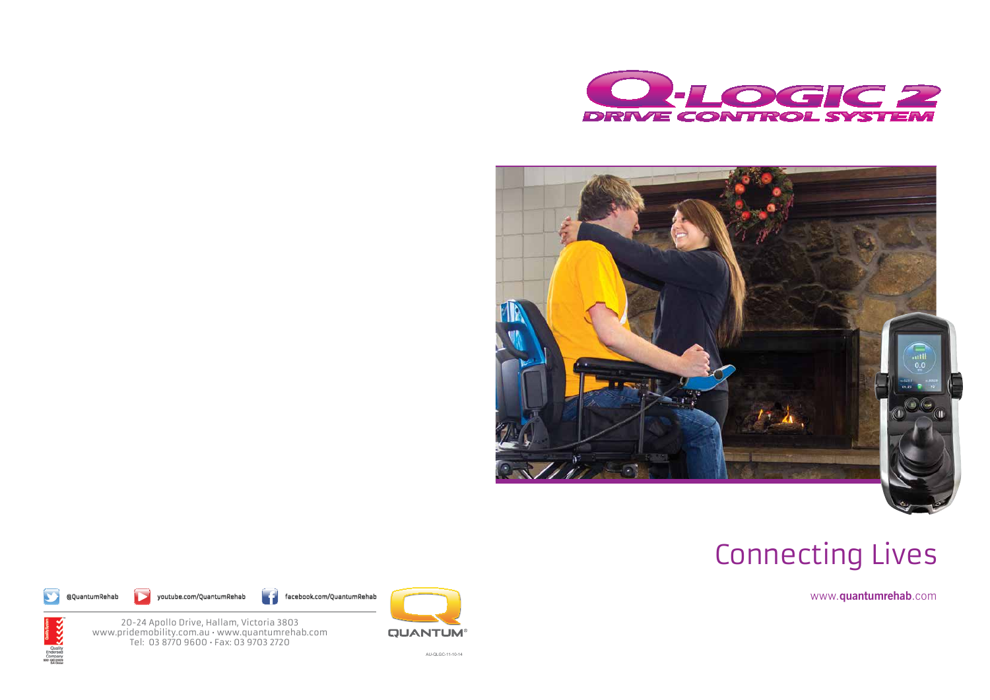AU-QLGC-11-10-14

www.**quantumrehab**.com

# Connecting Lives